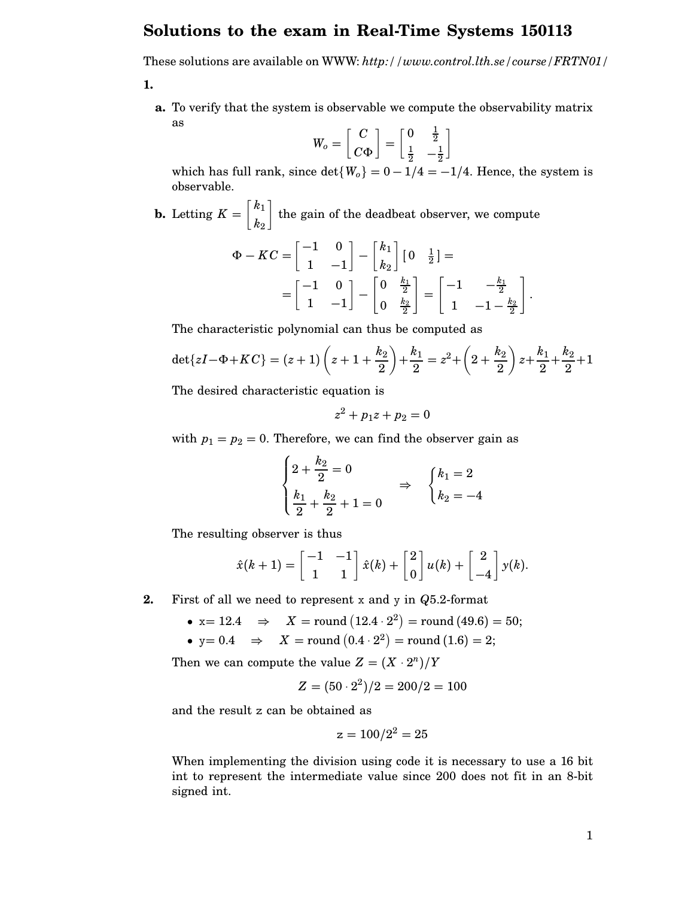## **Solutions to the exam in Real-Time Systems 150113**

These solutions are available on WWW: *http://www.control.lth.se/course/FRTN01/*

**1.**

**a.** To verify that the system is observable we compute the observability matrix as

$$
W_o = \begin{bmatrix} C \\ C\Phi \end{bmatrix} = \begin{bmatrix} 0 & \frac{1}{2} \\ \frac{1}{2} & -\frac{1}{2} \end{bmatrix}
$$

which has full rank, since  $\det\{W_o\} = 0 - 1/4 = -1/4$ . Hence, the system is observable.

**b.** Letting 
$$
K = \begin{bmatrix} k_1 \\ k_2 \end{bmatrix}
$$
 the gain of the deadbeat observer, we compute

$$
\Phi - KC = \begin{bmatrix} -1 & 0 \\ 1 & -1 \end{bmatrix} - \begin{bmatrix} k_1 \\ k_2 \end{bmatrix} \begin{bmatrix} 0 & \frac{1}{2} \end{bmatrix} =
$$
  
= 
$$
\begin{bmatrix} -1 & 0 \\ 1 & -1 \end{bmatrix} - \begin{bmatrix} 0 & \frac{k_1}{2} \\ 0 & \frac{k_2}{2} \end{bmatrix} = \begin{bmatrix} -1 & -\frac{k_1}{2} \\ 1 & -1 - \frac{k_2}{2} \end{bmatrix}.
$$

The characteristic polynomial can thus be computed as

$$
\det\{zI-\Phi+KC\} = (z+1)\left(z+1+\frac{k_2}{2}\right)+\frac{k_1}{2} = z^2+\left(2+\frac{k_2}{2}\right)z+\frac{k_1}{2}+\frac{k_2}{2}+1
$$

The desired characteristic equation is

$$
z^2+p_1z+p_2=0
$$

with  $p_1 = p_2 = 0$ . Therefore, we can find the observer gain as

$$
\begin{cases} 2 + \frac{k_2}{2} = 0 \\ \frac{k_1}{2} + \frac{k_2}{2} + 1 = 0 \end{cases} \Rightarrow \begin{cases} k_1 = 2 \\ k_2 = -4 \end{cases}
$$

The resulting observer is thus

$$
\hat{x}(k+1) = \begin{bmatrix} -1 & -1 \\ 1 & 1 \end{bmatrix} \hat{x}(k) + \begin{bmatrix} 2 \\ 0 \end{bmatrix} u(k) + \begin{bmatrix} 2 \\ -4 \end{bmatrix} y(k).
$$

- **2.** First of all we need to represent x and y in *Q*5.2-format
	- $\bullet\;$  x = 12.4  $\;\;\Rightarrow\;\;\;X=$  round  $(12.4\cdot 2^{2})=$  round  $(49.6)=50;$
	- $\bullet\text{ y}=0.4\quad\Rightarrow\quad X=\text{round}\left(0.4\cdot2^{2}\right)=\text{round}\left(1.6\right)=2;$

Then we can compute the value  $Z = (X \cdot 2^n)/Y$ 

$$
Z = (50 \cdot 2^2)/2 = 200/2 = 100
$$

and the result z can be obtained as

$$
z = 100/2^2 = 25
$$

When implementing the division using code it is necessary to use a 16 bit int to represent the intermediate value since 200 does not fit in an 8-bit signed int.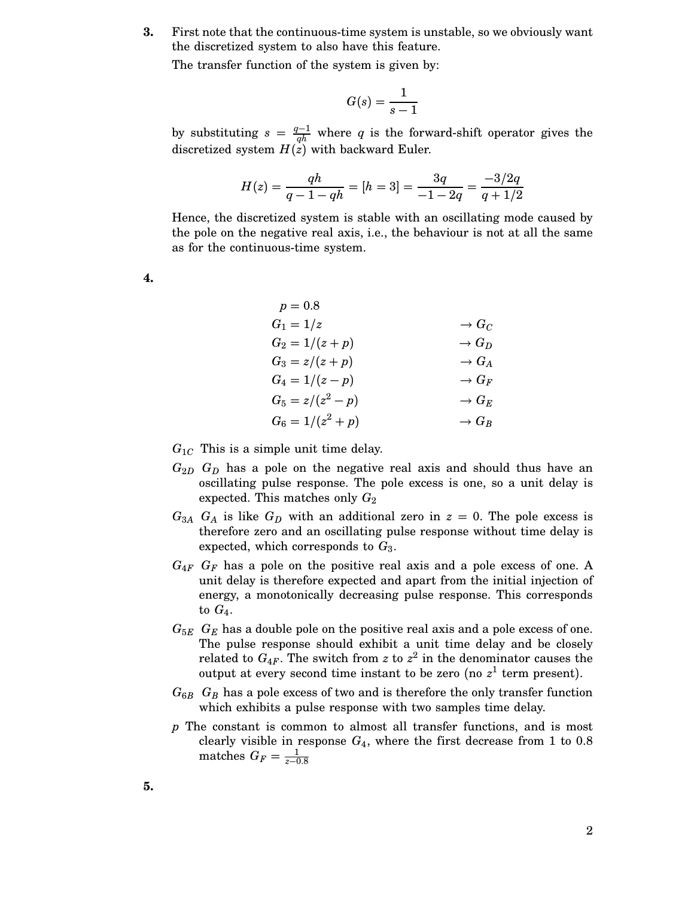**3.** First note that the continuous-time system is unstable, so we obviously want the discretized system to also have this feature.

The transfer function of the system is given by:

$$
G(s) = \frac{1}{s-1}
$$

by substituting  $s = \frac{q-1}{qh}$  where *q* is the forward-shift operator gives the discretized system  $H(z)$  with backward Euler.

$$
H(z) = \frac{qh}{q - 1 - qh} = [h = 3] = \frac{3q}{-1 - 2q} = \frac{-3/2q}{q + 1/2}
$$

Hence, the discretized system is stable with an oscillating mode caused by the pole on the negative real axis, i.e., the behaviour is not at all the same as for the continuous-time system.

**4.**

| $\rightarrow G_C$ |
|-------------------|
| $\rightarrow G_D$ |
| $\rightarrow G_A$ |
| $\to G_F$         |
| $\to G_E$         |
| $\rightarrow G_B$ |
|                   |

 $G_{1C}$  This is a simple unit time delay.

- $G_{2D}$   $G_D$  has a pole on the negative real axis and should thus have an oscillating pulse response. The pole excess is one, so a unit delay is expected. This matches only  $G_2$
- $G_{3A}$  *G<sub>A</sub>* is like  $G_D$  with an additional zero in  $z = 0$ . The pole excess is therefore zero and an oscillating pulse response without time delay is expected, which corresponds to *G*3.
- $G_{4F}$   $G_F$  has a pole on the positive real axis and a pole excess of one. A unit delay is therefore expected and apart from the initial injection of energy, a monotonically decreasing pulse response. This corresponds to  $G_4$ .
- $G_{5E}$   $G_E$  has a double pole on the positive real axis and a pole excess of one. The pulse response should exhibit a unit time delay and be closely related to  $G_{4F}$ . The switch from *z* to  $z^2$  in the denominator causes the output at every second time instant to be zero (no  $z<sup>1</sup>$  term present).
- $G_{6B}$   $G_B$  has a pole excess of two and is therefore the only transfer function which exhibits a pulse response with two samples time delay.
- *p* The constant is common to almost all transfer functions, and is most clearly visible in response  $G_4$ , where the first decrease from 1 to 0.8 matches  $G_F = \frac{1}{z-0.8}$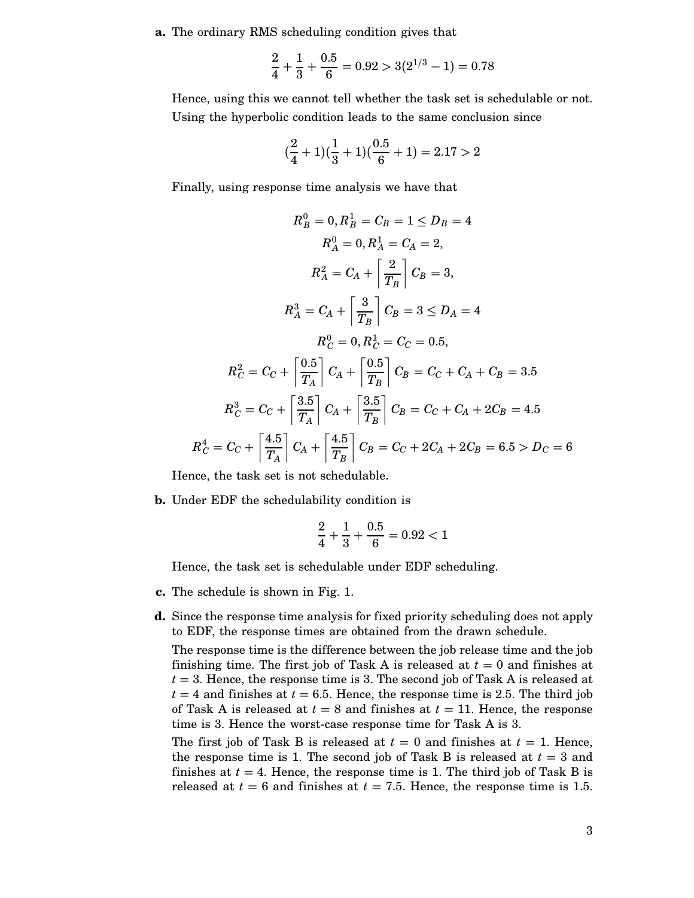**a.** The ordinary RMS scheduling condition gives that

$$
\frac{2}{4} + \frac{1}{3} + \frac{0.5}{6} = 0.92 > 3(2^{1/3} - 1) = 0.78
$$

Hence, using this we cannot tell whether the task set is schedulable or not. Using the hyperbolic condition leads to the same conclusion since

$$
(\frac{2}{4}+1)(\frac{1}{3}+1)(\frac{0.5}{6}+1) = 2.17 > 2
$$

Finally, using response time analysis we have that

$$
R_B^0 = 0, R_B^1 = C_B = 1 \le D_B = 4
$$
  
\n
$$
R_A^0 = 0, R_A^1 = C_A = 2,
$$
  
\n
$$
R_A^2 = C_A + \left[\frac{2}{T_B}\right]C_B = 3,
$$
  
\n
$$
R_A^3 = C_A + \left[\frac{3}{T_B}\right]C_B = 3 \le D_A = 4
$$
  
\n
$$
R_C^0 = 0, R_C^1 = C_C = 0.5,
$$
  
\n
$$
R_C^2 = C_C + \left[\frac{0.5}{T_A}\right]C_A + \left[\frac{0.5}{T_B}\right]C_B = C_C + C_A + C_B = 3.5
$$
  
\n
$$
R_C^3 = C_C + \left[\frac{3.5}{T_A}\right]C_A + \left[\frac{3.5}{T_B}\right]C_B = C_C + C_A + 2C_B = 4.5
$$
  
\n
$$
R_C^4 = C_C + \left[\frac{4.5}{T_A}\right]C_A + \left[\frac{4.5}{T_B}\right]C_B = C_C + 2C_A + 2C_B = 6.5 > D_C = 6
$$

Hence, the task set is not schedulable.

**b.** Under EDF the schedulability condition is

$$
\frac{2}{4} + \frac{1}{3} + \frac{0.5}{6} = 0.92 < 1
$$

Hence, the task set is schedulable under EDF scheduling.

- **c.** The schedule is shown in Fig. 1.
- **d.** Since the response time analysis for fixed priority scheduling does not apply to EDF, the response times are obtained from the drawn schedule.

The response time is the difference between the job release time and the job finishing time. The first job of Task A is released at *t* = 0 and finishes at  $t = 3$ . Hence, the response time is 3. The second job of Task A is released at  $t = 4$  and finishes at  $t = 6.5$ . Hence, the response time is 2.5. The third job of Task A is released at  $t = 8$  and finishes at  $t = 11$ . Hence, the response time is 3. Hence the worst-case response time for Task A is 3.

The first job of Task B is released at  $t = 0$  and finishes at  $t = 1$ . Hence, the response time is 1. The second job of Task B is released at  $t = 3$  and finishes at  $t = 4$ . Hence, the response time is 1. The third job of Task B is released at  $t = 6$  and finishes at  $t = 7.5$ . Hence, the response time is 1.5.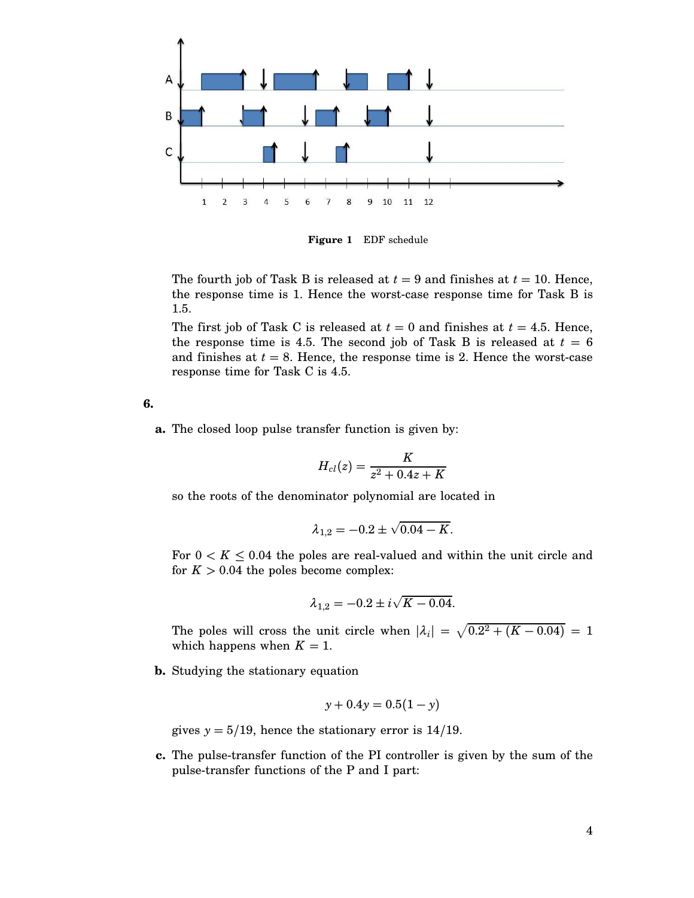

**Figure 1** EDF schedule

The fourth job of Task B is released at  $t = 9$  and finishes at  $t = 10$ . Hence, the response time is 1. Hence the worst-case response time for Task B is 1.5.

The first job of Task C is released at  $t = 0$  and finishes at  $t = 4.5$ . Hence, the response time is 4.5. The second job of Task B is released at  $t = 6$ and finishes at  $t = 8$ . Hence, the response time is 2. Hence the worst-case response time for Task C is 4.5.

**6.**

**a.** The closed loop pulse transfer function is given by:

$$
H_{cl}(z)=\frac{K}{z^2+0.4z+K}
$$

so the roots of the denominator polynomial are located in

$$
\lambda_{1,2} = -0.2 \pm \sqrt{0.04 - K}.
$$

For  $0 < K \leq 0.04$  the poles are real-valued and within the unit circle and for  $K > 0.04$  the poles become complex:

$$
\lambda_{1,2} = -0.2 \pm i \sqrt{K - 0.04}.
$$

The poles will cross the unit circle when  $|\lambda_i| = \sqrt{0.2^2 + (K - 0.04)} = 1$ which happens when  $K = 1$ .

**b.** Studying the stationary equation

$$
y + 0.4y = 0.5(1 - y)
$$

gives  $y = 5/19$ , hence the stationary error is  $14/19$ .

**c.** The pulse-transfer function of the PI controller is given by the sum of the pulse-transfer functions of the P and I part: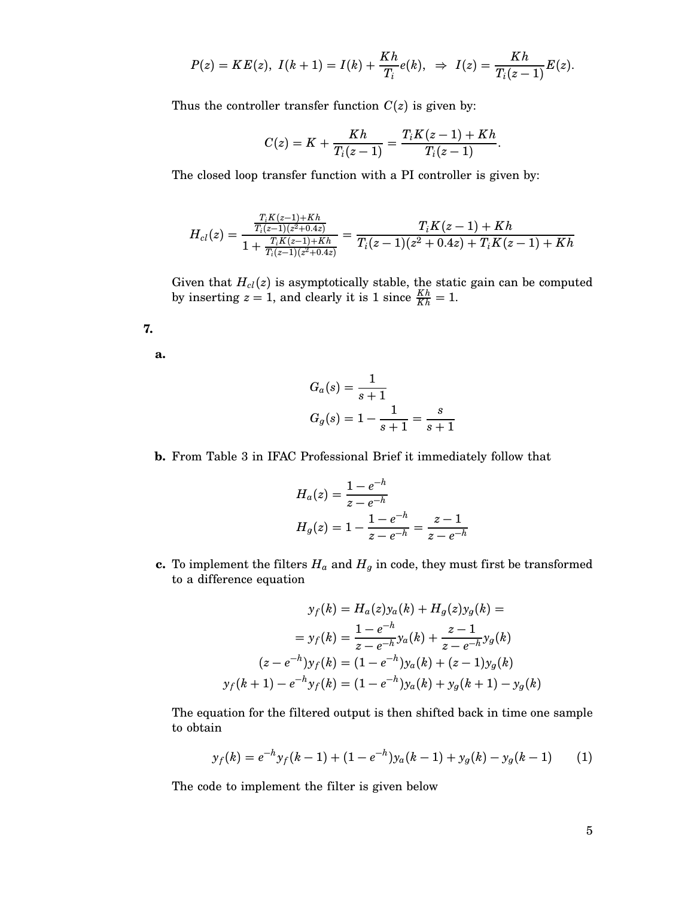$$
P(z) = KE(z), I(k+1) = I(k) + \frac{Kh}{T_i}e(k), \Rightarrow I(z) = \frac{Kh}{T_i(z-1)}E(z).
$$

Thus the controller transfer function  $C(z)$  is given by:

$$
C(z) = K + \frac{Kh}{T_i(z-1)} = \frac{T_i K(z-1) + Kh}{T_i(z-1)}.
$$

The closed loop transfer function with a PI controller is given by:

$$
H_{cl}(z)=\frac{\frac{T_iK(z-1)+Kh}{T_i(z-1)(z^2+0.4z)}}{1+\frac{T_iK(z-1)+Kh}{T_i(z-1)(z^2+0.4z)}}=\frac{T_iK(z-1)+Kh}{T_i(z-1)(z^2+0.4z)+T_iK(z-1)+Kh}
$$

Given that  $H_{cl}(z)$  is asymptotically stable, the static gain can be computed by inserting  $z = 1$ , and clearly it is 1 since  $\frac{Kh}{Kh} = 1$ .

**7.**

**a.**

$$
G_a(s) = \frac{1}{s+1}
$$
  
 
$$
G_g(s) = 1 - \frac{1}{s+1} = \frac{s}{s+1}
$$

## **b.** From Table 3 in IFAC Professional Brief it immediately follow that

$$
H_a(z) = \frac{1 - e^{-h}}{z - e^{-h}}
$$
  

$$
H_g(z) = 1 - \frac{1 - e^{-h}}{z - e^{-h}} = \frac{z - 1}{z - e^{-h}}
$$

**c.** To implement the filters  $H_a$  and  $H_g$  in code, they must first be transformed to a difference equation

$$
y_f(k) = H_a(z)y_a(k) + H_g(z)y_g(k) =
$$
  
=  $y_f(k) = \frac{1 - e^{-h}}{z - e^{-h}}y_a(k) + \frac{z - 1}{z - e^{-h}}y_g(k)$   
 $(z - e^{-h})y_f(k) = (1 - e^{-h})y_a(k) + (z - 1)y_g(k)$   
 $y_f(k + 1) - e^{-h}y_f(k) = (1 - e^{-h})y_a(k) + y_g(k + 1) - y_g(k)$ 

The equation for the filtered output is then shifted back in time one sample to obtain

$$
y_f(k) = e^{-h} y_f(k-1) + (1 - e^{-h}) y_a(k-1) + y_g(k) - y_g(k-1) \tag{1}
$$

The code to implement the filter is given below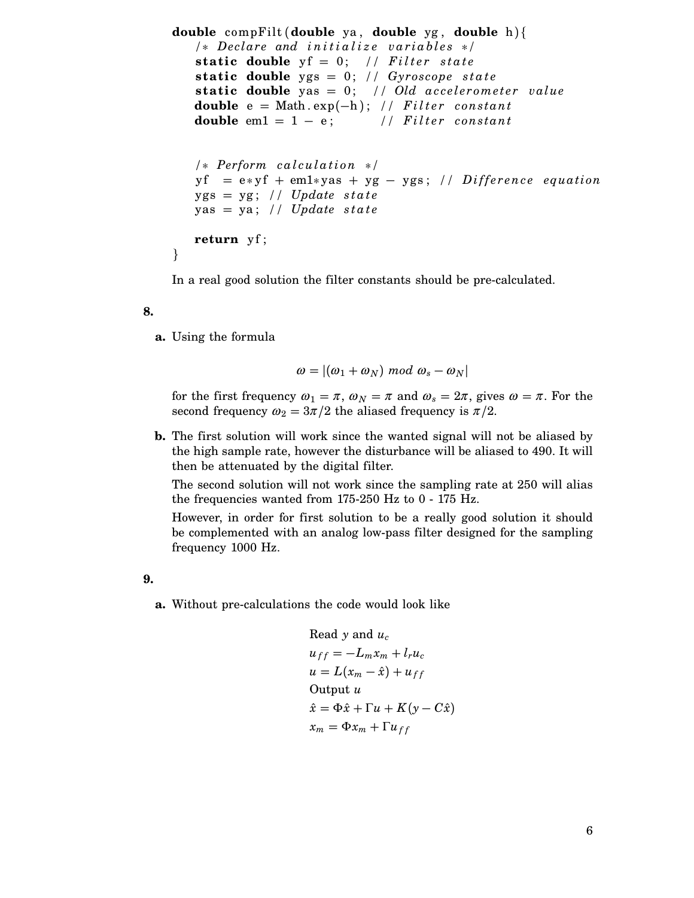```
double compFilt (double ya , double yg , double h){
   /∗ Dec lare and i n i t i a l i z e v a r i a b l e s ∗/
   static double y f = 0; // Filter state
   static double ygs = 0; // Gyroscope state
   static double yas = 0; // Old accelerometer value
   double e = Math.\exp(-h); // Filter constant
   double em1 = 1 – e; \frac{1}{\text{if}} // Filter constant
   /∗ Perform calculation ∗/
   y f = e * y f + em1 * y as + y g - y g s; // Difference equation
   ygs = yg; // Update state
   yas = ya ; // Update s t a t e
   return yf ;
}
```
In a real good solution the filter constants should be pre-calculated.

## **8.**

**a.** Using the formula

$$
\omega = |(\omega_1 + \omega_N) \bmod \omega_s - \omega_N|
$$

for the first frequency  $\omega_1 = \pi$ ,  $\omega_N = \pi$  and  $\omega_s = 2\pi$ , gives  $\omega = \pi$ . For the second frequency  $\omega_2 = 3\pi/2$  the aliased frequency is  $\pi/2$ .

**b.** The first solution will work since the wanted signal will not be aliased by the high sample rate, however the disturbance will be aliased to 490. It will then be attenuated by the digital filter.

The second solution will not work since the sampling rate at 250 will alias the frequencies wanted from 175-250 Hz to 0 - 175 Hz.

However, in order for first solution to be a really good solution it should be complemented with an analog low-pass filter designed for the sampling frequency 1000 Hz.

**9.**

**a.** Without pre-calculations the code would look like

```
Read y and uc
u_{ff} = -L_m x_m + l_r u_cu = L(x_m - \hat{x}) + u_{ff}Output u
\hat{x} = \Phi \hat{x} + \Gamma u + K(y - C\hat{x})x_m = \Phi x_m + \Gamma u_{ff}
```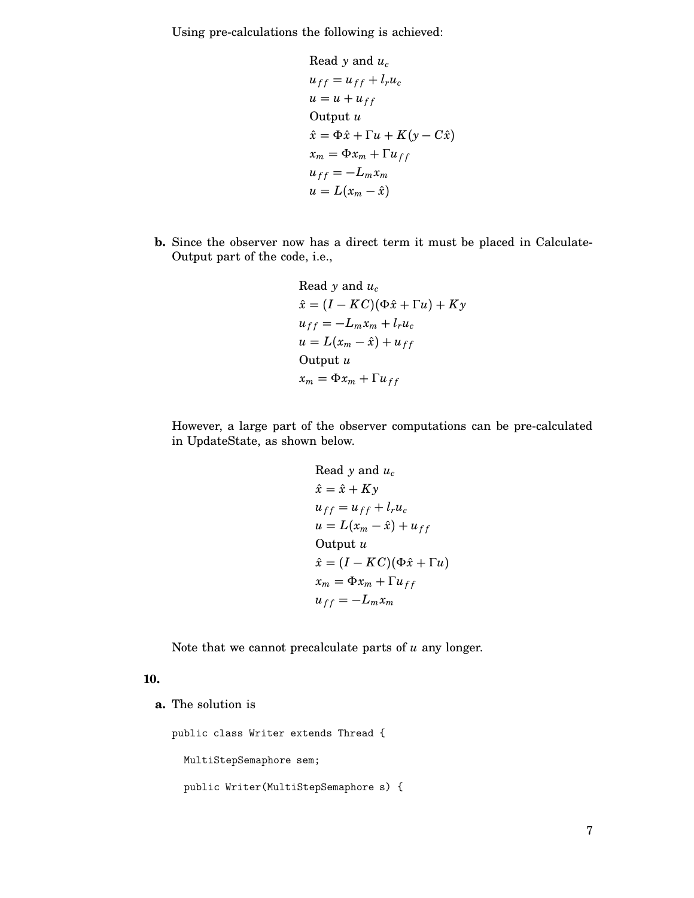Using pre-calculations the following is achieved:

Read y and 
$$
u_c
$$
  
\n
$$
u_{ff} = u_{ff} + l_r u_c
$$
\n
$$
u = u + u_{ff}
$$
\nOutput u  
\n
$$
\hat{x} = \Phi \hat{x} + \Gamma u + K(y - C \hat{x})
$$
\n
$$
x_m = \Phi x_m + \Gamma u_{ff}
$$
\n
$$
u_{ff} = -L_m x_m
$$
\n
$$
u = L(x_m - \hat{x})
$$

**b.** Since the observer now has a direct term it must be placed in Calculate-Output part of the code, i.e.,

> Read *y* and *uc*  $\hat{x} = (I - KC)(\Phi \hat{x} + \Gamma u) + Ky$  $u_{ff} = -L_m x_m + l_r u_c$  $u = L(x_m - \hat{x}) + u_{ff}$ Output *u*  $x_m = \Phi x_m + \Gamma u_{ff}$

However, a large part of the observer computations can be pre-calculated in UpdateState, as shown below.

Read y and 
$$
u_c
$$
  
\n
$$
\hat{x} = \hat{x} + Ky
$$
\n
$$
u_{ff} = u_{ff} + l_r u_c
$$
\n
$$
u = L(x_m - \hat{x}) + u_{ff}
$$
\nOutput  $u$   
\n
$$
\hat{x} = (I - KC)(\Phi \hat{x} + \Gamma u)
$$
\n
$$
x_m = \Phi x_m + \Gamma u_{ff}
$$
\n
$$
u_{ff} = -L_m x_m
$$

Note that we cannot precalculate parts of *u* any longer.

## **10.**

**a.** The solution is

public class Writer extends Thread {

MultiStepSemaphore sem;

```
public Writer(MultiStepSemaphore s) {
```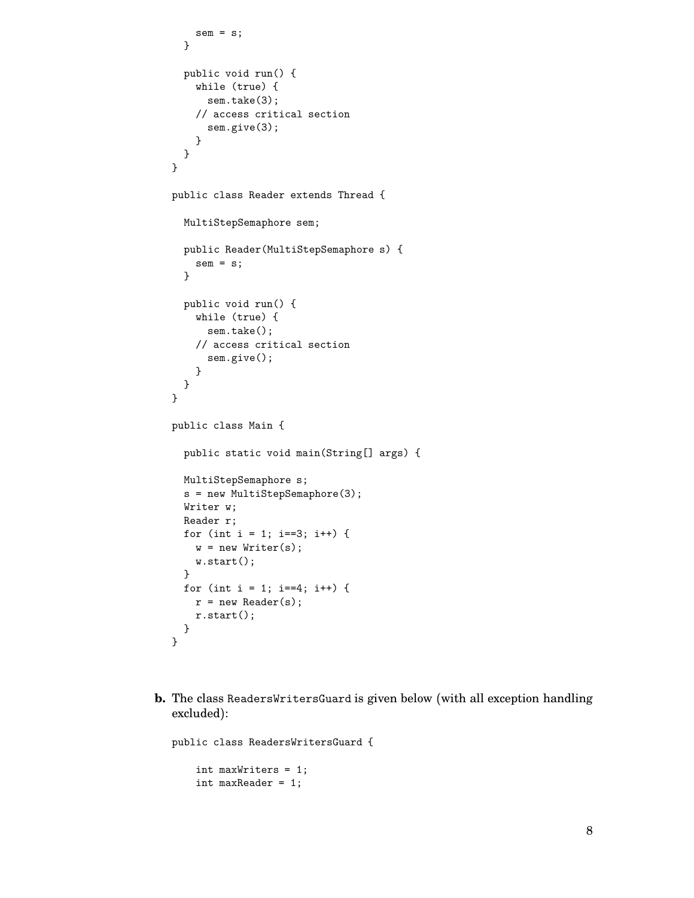```
sem = s;}
  public void run() {
    while (true) {
     sem.take(3);
    // access critical section
      sem.give(3);
    }
 }
}
public class Reader extends Thread {
  MultiStepSemaphore sem;
  public Reader(MultiStepSemaphore s) {
    sem = s;}
  public void run() {
   while (true) {
      sem.take();
   // access critical section
      sem.give();
    }
 }
}
public class Main {
  public static void main(String[] args) {
 MultiStepSemaphore s;
  s = new MultiStepSemaphore(3);
  Writer w;
  Reader r;
  for (int i = 1; i==3; i++) {
   w = new Writer(s);w.start();
  }
  for (int i = 1; i == 4; i++) {
   r = new Reader(s);r.start();
  }
}
```
**b.** The class ReadersWritersGuard is given below (with all exception handling excluded):

```
public class ReadersWritersGuard {
    int maxWriters = 1;
    int maxReader = 1;
```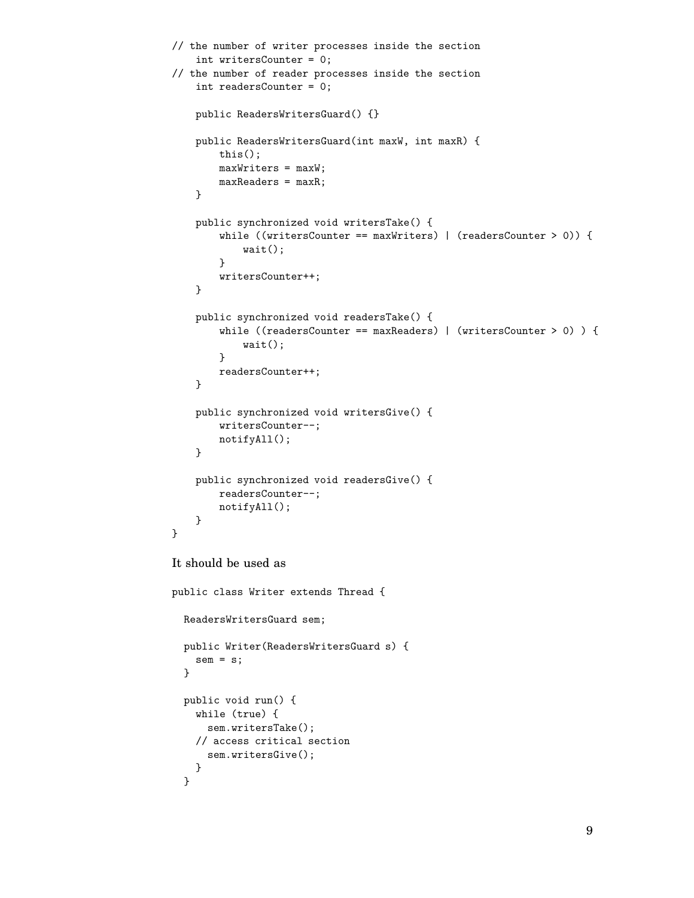```
// the number of writer processes inside the section
    int writersCounter = 0;
// the number of reader processes inside the section
    int readersCounter = 0;
    public ReadersWritersGuard() {}
    public ReadersWritersGuard(int maxW, int maxR) {
        this();
        maxWriters = maxW;
        maxReaders = maxR;
    }
    public synchronized void writersTake() {
        while ((writersCounter == maxWriters) | (readersCounter > 0)) {
            wait();
        }
        writersCounter++;
    }
    public synchronized void readersTake() {
        while ((readersCounter == maxReaders) | (writersCounter > 0) ) {
            wait();
        }
        readersCounter++;
    }
    public synchronized void writersGive() {
        writersCounter--;
        notifyAll();
    }
    public synchronized void readersGive() {
        readersCounter--;
        notifyAll();
    }
}
It should be used as
public class Writer extends Thread {
  ReadersWritersGuard sem;
  public Writer(ReadersWritersGuard s) {
    sem = s;}
  public void run() {
    while (true) {
     sem.writersTake();
    // access critical section
     sem.writersGive();
    }
  }
```